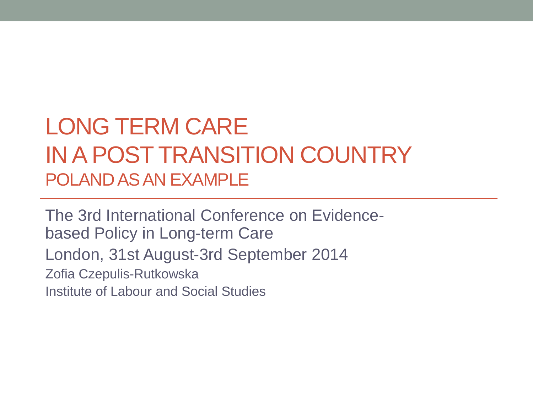#### LONG TERM CARE IN A POST TRANSITION COUNTRY POLAND AS AN EXAMPLE

The 3rd International Conference on Evidencebased Policy in Long-term Care London, 31st August-3rd September 2014 Zofia Czepulis-Rutkowska Institute of Labour and Social Studies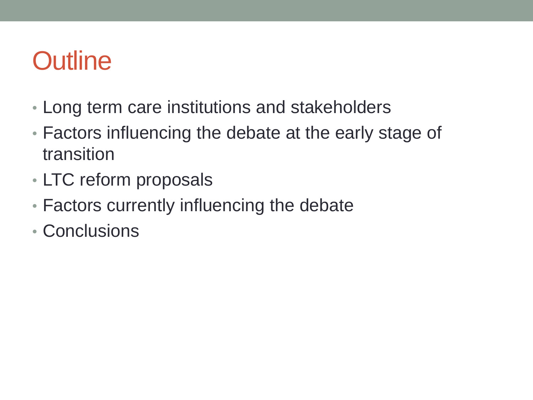## **Outline**

- Long term care institutions and stakeholders
- Factors influencing the debate at the early stage of transition
- LTC reform proposals
- Factors currently influencing the debate
- Conclusions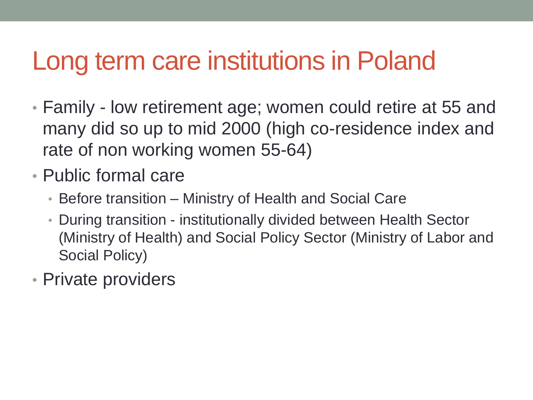### Long term care institutions in Poland

- Family low retirement age; women could retire at 55 and many did so up to mid 2000 (high co-residence index and rate of non working women 55-64)
- Public formal care
	- Before transition Ministry of Health and Social Care
	- During transition institutionally divided between Health Sector (Ministry of Health) and Social Policy Sector (Ministry of Labor and Social Policy)
- Private providers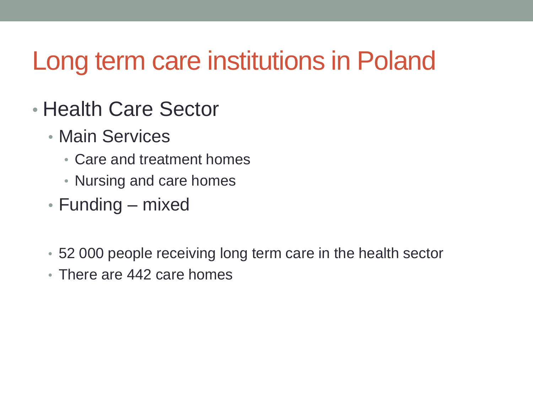## Long term care institutions in Poland

- Health Care Sector
	- Main Services
		- Care and treatment homes
		- Nursing and care homes
	- Funding mixed
	- 52 000 people receiving long term care in the health sector
	- There are 442 care homes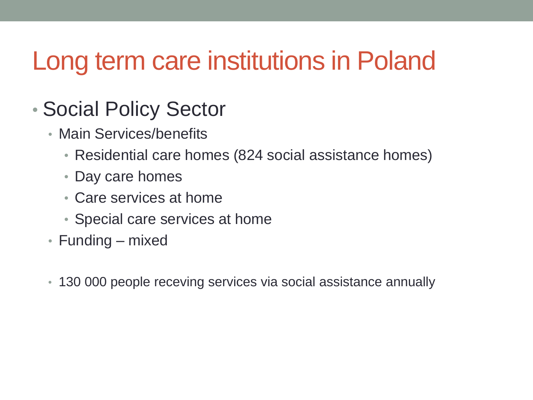## Long term care institutions in Poland

#### • Social Policy Sector

- Main Services/benefits
	- Residential care homes (824 social assistance homes)
	- Day care homes
	- Care services at home
	- Special care services at home
- Funding mixed
- 130 000 people receving services via social assistance annually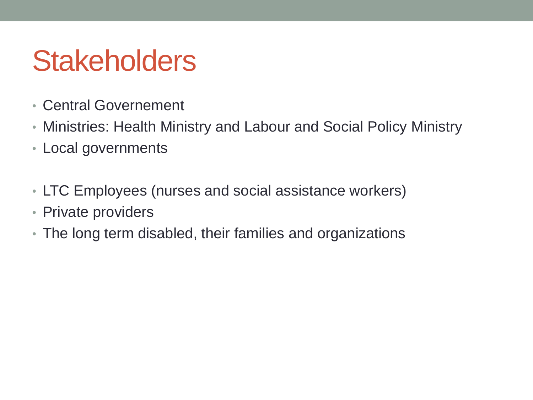## **Stakeholders**

- Central Governement
- Ministries: Health Ministry and Labour and Social Policy Ministry
- Local governments
- LTC Employees (nurses and social assistance workers)
- Private providers
- The long term disabled, their families and organizations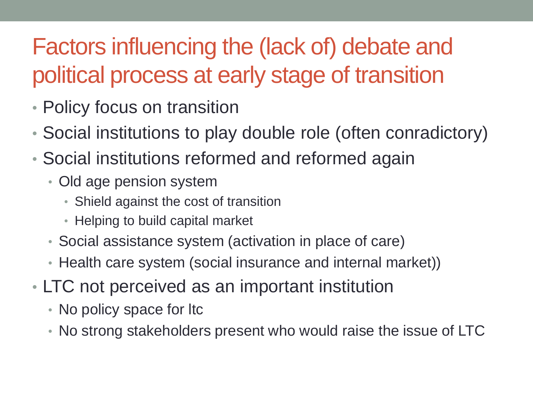### Factors influencing the (lack of) debate and political process at early stage of transition

- Policy focus on transition
- Social institutions to play double role (often conradictory)
- Social institutions reformed and reformed again
	- Old age pension system
		- Shield against the cost of transition
		- Helping to build capital market
	- Social assistance system (activation in place of care)
	- Health care system (social insurance and internal market))
- LTC not perceived as an important institution
	- No policy space for Itc
	- No strong stakeholders present who would raise the issue of LTC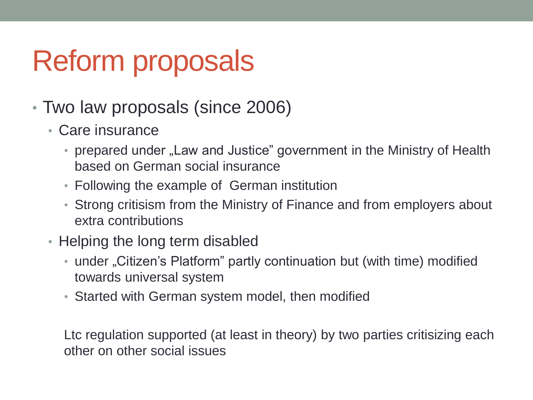- Two law proposals (since 2006)
	- Care insurance
		- prepared under "Law and Justice" government in the Ministry of Health based on German social insurance
		- Following the example of German institution
		- Strong critisism from the Ministry of Finance and from employers about extra contributions
	- Helping the long term disabled
		- under "Citizen's Platform" partly continuation but (with time) modified towards universal system
		- Started with German system model, then modified

Ltc regulation supported (at least in theory) by two parties critisizing each other on other social issues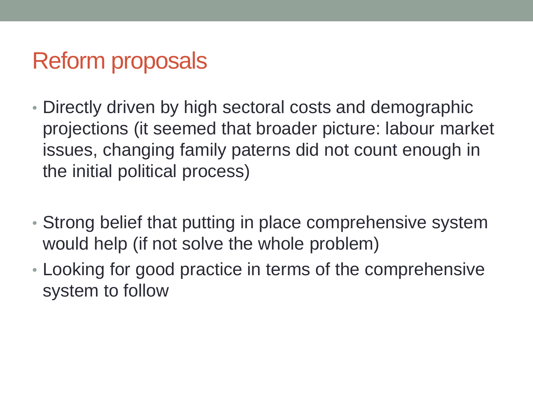- Directly driven by high sectoral costs and demographic projections (it seemed that broader picture: labour market issues, changing family paterns did not count enough in the initial political process)
- Strong belief that putting in place comprehensive system would help (if not solve the whole problem)
- Looking for good practice in terms of the comprehensive system to follow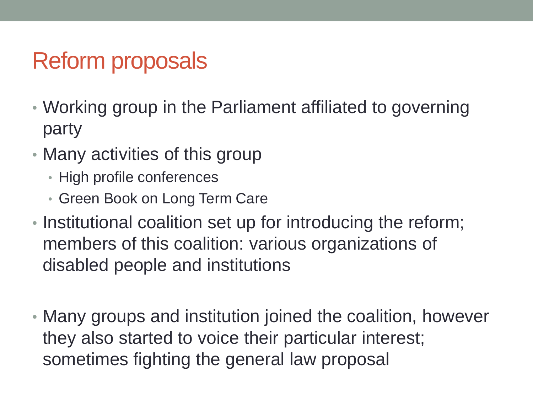- Working group in the Parliament affiliated to governing party
- Many activities of this group
	- High profile conferences
	- Green Book on Long Term Care
- Institutional coalition set up for introducing the reform; members of this coalition: various organizations of disabled people and institutions
- Many groups and institution joined the coalition, however they also started to voice their particular interest; sometimes fighting the general law proposal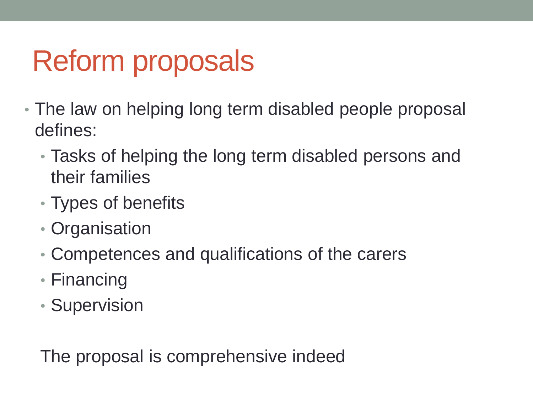- The law on helping long term disabled people proposal defines:
	- Tasks of helping the long term disabled persons and their families
	- Types of benefits
	- Organisation
	- Competences and qualifications of the carers
	- Financing
	- Supervision

The proposal is comprehensive indeed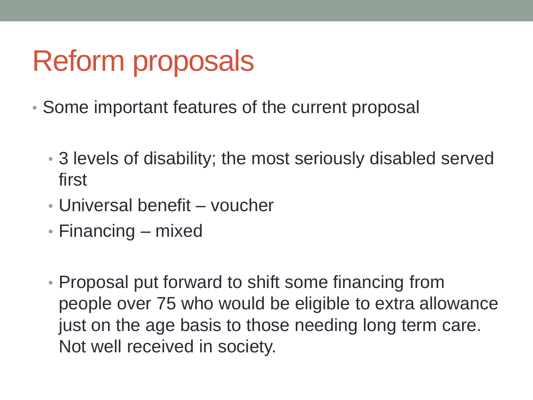- Some important features of the current proposal
	- 3 levels of disability; the most seriously disabled served first
	- Universal benefit voucher
	- Financing mixed
	- Proposal put forward to shift some financing from people over 75 who would be eligible to extra allowance just on the age basis to those needing long term care. Not well received in society.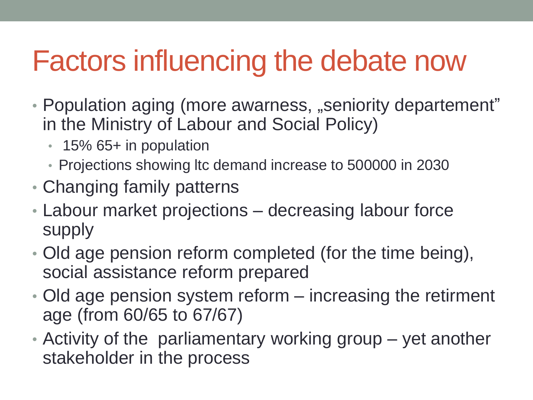## Factors influencing the debate now

- Population aging (more awarness, "seniority departement" in the Ministry of Labour and Social Policy)
	- 15% 65+ in population
	- Projections showing ltc demand increase to 500000 in 2030
- Changing family patterns
- Labour market projections decreasing labour force supply
- Old age pension reform completed (for the time being), social assistance reform prepared
- Old age pension system reform increasing the retirment age (from 60/65 to 67/67)
- Activity of the parliamentary working group yet another stakeholder in the process